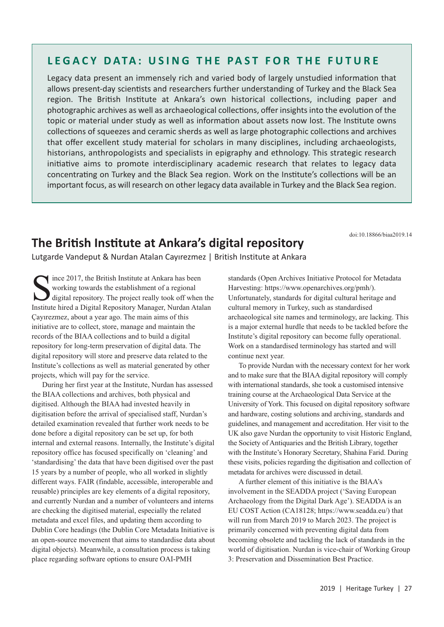## **LEGACY DATA: USING THE PAST FOR THE FUTURE**

Legacy data present an immensely rich and varied body of largely unstudied information that allows present-day scientists and researchers further understanding of Turkey and the Black Sea region. The British Institute at Ankara's own historical collections, including paper and photographic archives as well as archaeological collections, offer insights into the evolution of the topic or material under study as well as information about assets now lost. The Institute owns collections of squeezes and ceramic sherds as well as large photographic collections and archives that offer excellent study material for scholars in many disciplines, including archaeologists, historians, anthropologists and specialists in epigraphy and ethnology. This strategic research initiative aims to promote interdisciplinary academic research that relates to legacy data concentrating on Turkey and the Black Sea region. Work on the Institute's collections will be an important focus, as will research on other legacy data available in Turkey and the Black Sea region.

doi:10.18866/biaa2019.14

## **The British Institute at Ankara's digital repository**

Lutgarde Vandeput & Nurdan Atalan Cayırezmez | British Institute at Ankara

Since 2017, the British Institute at Ankara has been<br>working towards the establishment of a regional<br>digital repository. The project really took off when<br>Institute hired a Digital Repository Manager Nurdan Ata working towards the establishment of a regional digital repository. The project really took off when the Institute hired a Digital Repository Manager, Nurdan Atalan Çayırezmez, about a year ago. The main aims of this initiative are to collect, store, manage and maintain the records of the BIAA collections and to build a digital repository for long-term preservation of digital data. The digital repository will store and preserve data related to the Institute's collections as well as material generated by other projects, which will pay for the service.

During her first year at the Institute, Nurdan has assessed the BIAA collections and archives, both physical and digitised. Although the BIAA had invested heavily in digitisation before the arrival of specialised staff, Nurdan's detailed examination revealed that further work needs to be done before a digital repository can be set up, for both internal and external reasons. Internally, the Institute's digital repository office has focused specifically on 'cleaning' and 'standardising' the data that have been digitised over the past 15 years by a number of people, who all worked in slightly different ways. FAIR (findable, accessible, interoperable and reusable) principles are key elements of a digital repository, and currently Nurdan and a number of volunteers and interns are checking the digitised material, especially the related metadata and excel files, and updating them according to Dublin Core headings (the Dublin Core Metadata Initiative is an open-source movement that aims to standardise data about digital objects). Meanwhile, a consultation process is taking place regarding software options to ensure OAI-PMH

standards (Open Archives Initiative Protocol for Metadata Harvesting: https://www.openarchives.org/pmh/). Unfortunately, standards for digital cultural heritage and cultural memory in Turkey, such as standardised archaeological site names and terminology, are lacking. This is a major external hurdle that needs to be tackled before the Institute's digital repository can become fully operational. Work on a standardised terminology has started and will continue next year.

To provide Nurdan with the necessary context for her work and to make sure that the BIAA digital repository will comply with international standards, she took a customised intensive training course at the Archaeological Data Service at the University of York. This focused on digital repository software and hardware, costing solutions and archiving, standards and guidelines, and management and accreditation. Her visit to the UK also gave Nurdan the opportunity to visit Historic England, the Society of Antiquaries and the British Library, together with the Institute's Honorary Secretary, Shahina Farid. During these visits, policies regarding the digitisation and collection of metadata for archives were discussed in detail.

A further element of this initiative is the BIAA's involvement in the SEADDA project ('Saving European Archaeology from the Digital Dark Age'). SEADDA is an EU COST Action (CA18128; https://www.seadda.eu/) that will run from March 2019 to March 2023. The project is primarily concerned with preventing digital data from becoming obsolete and tackling the lack of standards in the world of digitisation. Nurdan is vice-chair of Working Group 3: Preservation and Dissemination Best Practice.